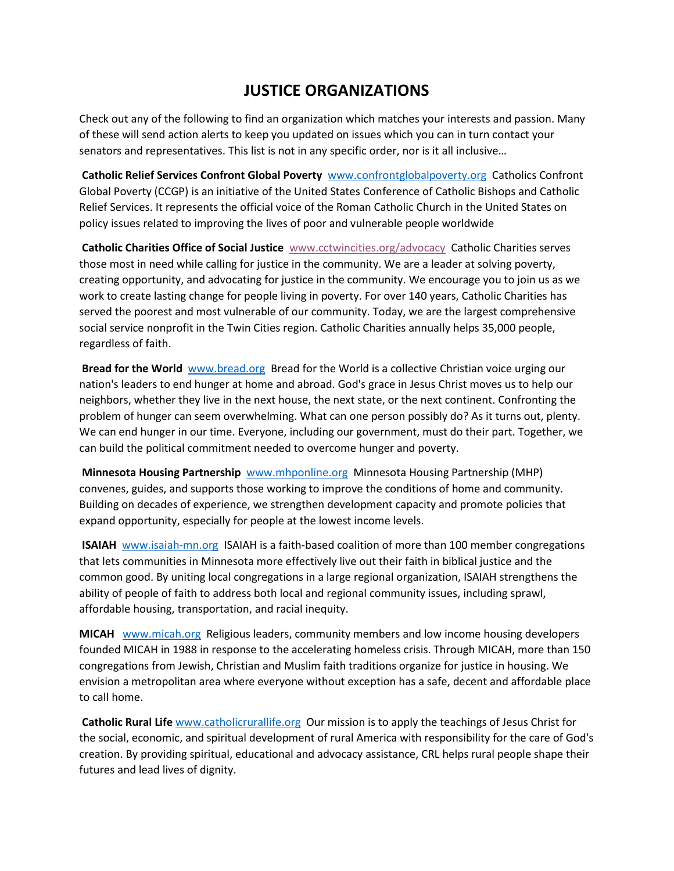## **JUSTICE ORGANIZATIONS**

Check out any of the following to find an organization which matches your interests and passion. Many of these will send action alerts to keep you updated on issues which you can in turn contact your senators and representatives. This list is not in any specific order, nor is it all inclusive…

**Catholic Relief Services Confront Global Poverty** [www.confrontglobalpoverty.org](http://www.confrontglobalpoverty.org/) Catholics Confront Global Poverty (CCGP) is an initiative of the United States Conference of Catholic Bishops and Catholic Relief Services. It represents the official voice of the Roman Catholic Church in the United States on policy issues related to improving the lives of poor and vulnerable people worldwide

**Catholic Charities Office of Social Justice** [www.cctwincities.org/advocacy](http://www.cctwincities.org/advocacy) Catholic Charities serves those most in need while calling for justice in the community. We are a leader at solving poverty, creating opportunity, and advocating for justice in the community. We encourage you to join us as we work to create lasting change for people living in poverty. For over 140 years, Catholic Charities has served the poorest and most vulnerable of our community. Today, we are the largest comprehensive social service nonprofit in the Twin Cities region. Catholic Charities annually helps 35,000 people, regardless of faith.

**Bread for the World** [www.bread.org](http://www.bread.org/) Bread for the World is a collective Christian voice urging our nation's leaders to end hunger at home and abroad. God's grace in Jesus Christ moves us to help our neighbors, whether they live in the next house, the next state, or the next continent. Confronting the problem of hunger can seem overwhelming. What can one person possibly do? As it turns out, plenty. We can end hunger in our time. Everyone, including our government, must do their part. Together, we can build the political commitment needed to overcome hunger and poverty.

**Minnesota Housing Partnership** [www.mhponline.org](http://www.mhponline.org/) Minnesota Housing Partnership (MHP) convenes, guides, and supports those working to improve the conditions of home and community. Building on decades of experience, we strengthen development capacity and promote policies that expand opportunity, especially for people at the lowest income levels.

**ISAIAH** [www.isaiah-mn.org](http://www.isaiah-mn.org/) ISAIAH is a faith-based coalition of more than 100 member congregations that lets communities in Minnesota more effectively live out their faith in biblical justice and the common good. By uniting local congregations in a large regional organization, ISAIAH strengthens the ability of people of faith to address both local and regional community issues, including sprawl, affordable housing, transportation, and racial inequity.

**MICAH** [www.micah.org](http://www.micah.org/) Religious leaders, community members and low income housing developers founded MICAH in 1988 in response to the accelerating homeless crisis. Through MICAH, more than 150 congregations from Jewish, Christian and Muslim faith traditions organize for justice in housing. We envision a metropolitan area where everyone without exception has a safe, decent and affordable place to call home.

**Catholic Rural Life** [www.catholicrurallife.org](http://www.catholicrurallife.org/) Our mission is to apply the teachings of Jesus Christ for the social, economic, and spiritual development of rural America with responsibility for the care of God's creation. By providing spiritual, educational and advocacy assistance, CRL helps rural people shape their futures and lead lives of dignity.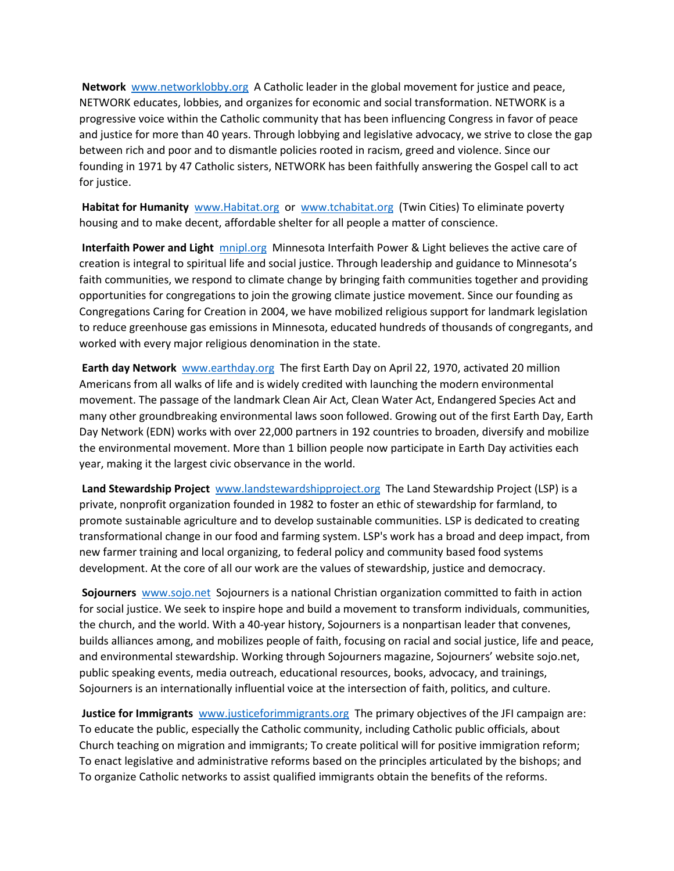**Network** [www.networklobby.org](http://www.networklobby.org/) A Catholic leader in the global movement for justice and peace, NETWORK educates, lobbies, and organizes for economic and social transformation. NETWORK is a progressive voice within the Catholic community that has been influencing Congress in favor of peace and justice for more than 40 years. Through lobbying and legislative advocacy, we strive to close the gap between rich and poor and to dismantle policies rooted in racism, greed and violence. Since our founding in 1971 by 47 Catholic sisters, NETWORK has been faithfully answering the Gospel call to act for justice.

Habitat for Humanity [www.Habitat.org](http://www.habitat.org/) or [www.tchabitat.org](http://www.tchabitat.org/) (Twin Cities) To eliminate poverty housing and to make decent, affordable shelter for all people a matter of conscience.

**Interfaith Power and Light** [mnipl.org](https://mnipl.org/) Minnesota Interfaith Power & Light believes the active care of creation is integral to spiritual life and social justice. Through leadership and guidance to Minnesota's faith communities, we respond to climate change by bringing faith communities together and providing opportunities for congregations to join the growing climate justice movement. Since our founding as Congregations Caring for Creation in 2004, we have mobilized religious support for landmark legislation to reduce greenhouse gas emissions in Minnesota, educated hundreds of thousands of congregants, and worked with every major religious denomination in the state.

**Earth day Network** [www.earthday.org](http://www.earthday.org/) The first Earth Day on April 22, 1970, activated 20 million Americans from all walks of life and is widely credited with launching the modern environmental movement. The passage of the landmark Clean Air Act, Clean Water Act, Endangered Species Act and many other groundbreaking environmental laws soon followed. Growing out of the first Earth Day, Earth Day Network (EDN) works with over 22,000 partners in 192 countries to broaden, diversify and mobilize the environmental movement. More than 1 billion people now participate in Earth Day activities each year, making it the largest civic observance in the world.

**Land Stewardship Project** [www.landstewardshipproject.org](http://www.landstewardshipproject.org/) The Land Stewardship Project (LSP) is a private, nonprofit organization founded in 1982 to foster an ethic of stewardship for farmland, to promote sustainable agriculture and to develop sustainable communities. LSP is dedicated to creating transformational change in our food and farming system. LSP's work has a broad and deep impact, from new farmer training and local organizing, to federal policy and community based food systems development. At the core of all our work are the values of stewardship, justice and democracy.

**Sojourners** [www.sojo.net](http://www.sojo.net/) Sojourners is a national Christian organization committed to faith in action for social justice. We seek to inspire hope and build a movement to transform individuals, communities, the church, and the world. With a 40-year history, Sojourners is a nonpartisan leader that convenes, builds alliances among, and mobilizes people of faith, focusing on racial and social justice, life and peace, and environmental stewardship. Working through Sojourners magazine, Sojourners' website sojo.net, public speaking events, media outreach, educational resources, books, advocacy, and trainings, Sojourners is an internationally influential voice at the intersection of faith, politics, and culture.

**Justice for Immigrants** [www.justiceforimmigrants.org](http://www.justiceforimmigrants.org/) The primary objectives of the JFI campaign are: To educate the public, especially the Catholic community, including Catholic public officials, about Church teaching on migration and immigrants; To create political will for positive immigration reform; To enact legislative and administrative reforms based on the principles articulated by the bishops; and To organize Catholic networks to assist qualified immigrants obtain the benefits of the reforms.